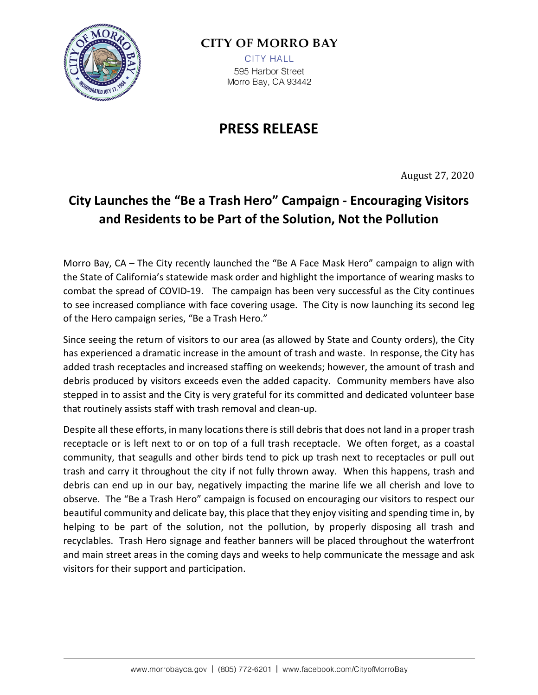

## **CITY OF MORRO BAY**

**CITY HALL** 595 Harbor Street Morro Bay, CA 93442

## **PRESS RELEASE**

August 27, 2020

## **City Launches the "Be a Trash Hero" Campaign - Encouraging Visitors and Residents to be Part of the Solution, Not the Pollution**

Morro Bay, CA – The City recently launched the "Be A Face Mask Hero" campaign to align with the State of California's statewide mask order and highlight the importance of wearing masks to combat the spread of COVID-19. The campaign has been very successful as the City continues to see increased compliance with face covering usage. The City is now launching its second leg of the Hero campaign series, "Be a Trash Hero."

Since seeing the return of visitors to our area (as allowed by State and County orders), the City has experienced a dramatic increase in the amount of trash and waste. In response, the City has added trash receptacles and increased staffing on weekends; however, the amount of trash and debris produced by visitors exceeds even the added capacity. Community members have also stepped in to assist and the City is very grateful for its committed and dedicated volunteer base that routinely assists staff with trash removal and clean-up.

Despite all these efforts, in many locations there is still debris that does not land in a proper trash receptacle or is left next to or on top of a full trash receptacle. We often forget, as a coastal community, that seagulls and other birds tend to pick up trash next to receptacles or pull out trash and carry it throughout the city if not fully thrown away. When this happens, trash and debris can end up in our bay, negatively impacting the marine life we all cherish and love to observe. The "Be a Trash Hero" campaign is focused on encouraging our visitors to respect our beautiful community and delicate bay, this place that they enjoy visiting and spending time in, by helping to be part of the solution, not the pollution, by properly disposing all trash and recyclables. Trash Hero signage and feather banners will be placed throughout the waterfront and main street areas in the coming days and weeks to help communicate the message and ask visitors for their support and participation.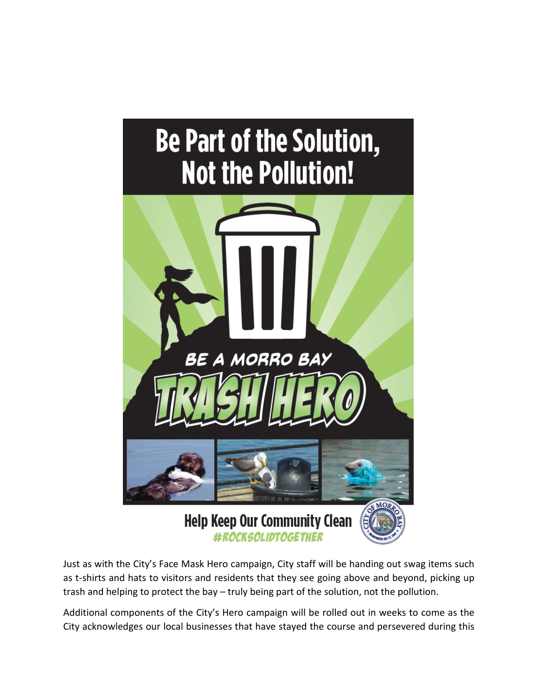

Just as with the City's Face Mask Hero campaign, City staff will be handing out swag items such as t-shirts and hats to visitors and residents that they see going above and beyond, picking up trash and helping to protect the bay – truly being part of the solution, not the pollution.

Additional components of the City's Hero campaign will be rolled out in weeks to come as the City acknowledges our local businesses that have stayed the course and persevered during this